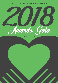

JANUARY 31, 2019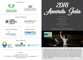PRESENTED BY





## PREMIER SPONSORS











TABLE SPONSORS



## EMCEE

Creighton Blackell, CUDE Vice President, Corporate Affairs and Community Engagement Coastal Credit Union



5:30pm-7:00pm

COCKTAIL RECEPTION

7:00pm-7:45pm

PLATED DINNER SERVICE

7:45pm

AWARDS PRESENTATION AND ENTERTAINMENT



Jonathan Byrd is a preacher's son, a Gulf War veteran, and an award-winning songwriter from Chapel Hill, North Carolina, known for literary, outsider songs that have become Americana favorites. Byrd is a fan and friend of Guitarists for Good, a non-profit founded by Local Government FCU Events Manager Sandy Green. Guitarists for Good shares the love of music by giving the gift of guitars to places serving the temporarily homeless in our communities. The healing power of music offers peace of mind, the ability to cope with struggles and comfort during a shelter stay.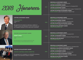



## LIFETIME ACHIEVEMENT AWARD

MARC SCHAEFER Truliant FCU CEO

Recognized for his imprint on advocacy, creation of Truliant's culture and dedication for the community and as a steadfast champion of the credit union movement.

## PARTNER IN PHILANTHROPY AWARD

ROBERT HARRIS Health Facilities FCU CEO

Recognized for his fundraising efforts for the City of Florence Police Benevolence Fund.

## PARTNER IN PHILANTHROPY AWARD

UPSTATE CHARITABLE GIVING COMMITTEE

Recognized for its completion of a \$150,000 fundraising pledge to the Greenville Children's Hospital.

INDIVIDUAL ACHIEVEMENT AWARD CATHY PACE | Allegacy FCU, President/CEO

LIFETIME ACHIEVEMENT AWARD DORINDA EDWARDS | American Partners CU, President/CEO

LIFETIME ACHIEVEMENT AWARD JOHN RADEBAUGH | Carolinas Credit Union League, President/CEO

LIFETIME VOLUNTEER ACHIEVEMENT AWARD MARIA SCANGA | Latino Community CU, Board Chair

## INDIVIDUAL ACHIEVEMENT AWARD

MARK CURRAN | Lion's Share FCU, President/CEO

LIFETIME ACHIEVEMENT AWARD JERRY MILLER | Carolina Trust FCU, President/CEO

LIFETIME VOLUNTEER ACHIEVEMENT AWARD JOAN NELSON | Coastal CU, Volunteer/Board Chair

PARTNER IN PHILANTHROPY AWARD CREATIVE BUILDERS, INC.

INDIVIDUAL ACHIEVEMENT AWARD GENICE DECORTE | Healthshare CU, President/CEO LIFETIME ACHIEVEMENT AWARD GLENN KIRK | Summit CU, Board of Directors/Treasurer/Trustee PARTNER IN PHILANTHROPY

YOUR MARKETING CO.

2016

2017

2015

2014

## INDIVIDUAL ACHIEVEMENT AWARD

DAVID BREHMER | First Carolina Corporate CU, President/CEO

INDIVIDUAL VOLUNTEER ACHIEVEMENT AWARD TRAVIS WALTERS | SPC CU, Board Chairman

LIFETIME ACHIEVEMENT AWARD JOHN CARLSON | Sharonview FCU, President/CEO

LIFETIME VOLUNTEER ACHIEVEMENT AWARD GEORGE PRICE | Piedmont Advantage CU, Board Member

PARTNER IN PHILANTHROPY AWARD CUNA MUTUAL GROUP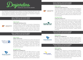

The Desjardins award program was created to recognize leadership within the credit union movement on behalf of financial literacy for all ages. Named after credit union pioneer Alphonse Desjardins, the program emphasizes the movement's longtime commitment to youth and personal financial education.

## ADULT FINANCIAL EDUCATION AWARD \$50 MILLION-\$250 MILLION IN ASSETS



## FIRST PLACE CAROLINA FOOTHILLS FCU

In collaboration with Habitat for Humanity of Spartanburg, Carolina Foothills' 16 FiCEP Certified Credit Union Financial Counselors worked one-on-one with new members referred by Habitat for Humanity to gain control of their money, curb needless spending habits, increase their credit scores, decrease debt-to-income ratios, and save for their dreams.

## ADULT FINANCIAL EDUCATION AWARD \$250 MILLION-\$1 BILLION IN ASSETS



## FIRST PLACE FAMILY TRUST FCU

Family Trust teamed up with the City of Rock Hill and local television station CN2 to provide free financial education to all citizens through "Money Matters" workshops. Attendees were provided handouts and take-home information on the session topics of budgeting, credit score and debt consolidation, auto and mortgage buying basics, and how to save for retirement.

## SECOND PLACE PALMETTO CITIZENS FCU



Palmetto Citizens partnered with WACH FOX 57 to create monthly, two-minute videos to provide South Carolina citizens with basic money management and financial planning tools in a news segment called "MoneyWACH." In its 8th consecutive season, MoneyWACH reaches approximately 500,000 people across the Columbia market.

## Carolina I Trust **FEDERAL CREDIT UNION**

CAROLINA FOOTHILLS **FEDERAL CREDIT UNION** 

## YOUTH FINANCIAL EDUCATION AWARD \$50 MILLION-\$250 MILLION IN ASSETS

## FIRST PLACE CAROLINA FOOTHILLS FCU

Carolina Foothills created a reality simulation that addresses elementary school children's need for the basics of budgeting in age-appropriate terms and conditions. "My First Budget," which was created for an event with a local church and the United Way, is now used in the two elementary school branches of Carolina Foothills and serves children from lowincome families.

## SECOND PLACE

## CAROLINA TRUST FCU

Carolina Trust places youth financial education as a high priority and is working with local youth to develop healthy savings habits that could last a lifetime. Opportunities identified by Carolina Trust include: building community relationships by attending local events; partnering with the schools for in-school banking; savings contests, career days and financial education presentations; and growing its relationship with the local university, Coastal Carolina University.

## YOUTH FINANCIAL EDUCATION AWARD \$250 MILLION-\$1 BILLION IN ASSETS

## FIRST PLACE PALMETTO CITIZENS FCU

For the third consecutive year, Palmetto Citizens held a Reality of Money simulation at its annual Teens & Money Workshop. Participants were given real-life scenarios to teach them about the impact that financial choices will have on their budgets and lifestyles as they enter adulthood.

## YOUTH FINANCIAL EDUCATION AWARD MORE THAN \$1 BILLION IN ASSETS

## FIRST PLACE

## TRULIANT FCU

To celebrate the milestone of reaching 200,000 memberowners in 2016, Truliant made a commitment to provide \$200,000 over the next five years to area teachers who wish to teach financial education. Grant applicants are selected for public voting to determine grant winners. In 2017, Truliant awarded \$40,750 to nine schools, most of which were Title I schools in low socioeconomic areas.



**PALMETTOCITIZENS KAL CREDIT UNIL** 

ACHIEVE WILLIE POTENTIAL!

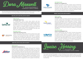

The Dora Maxwell Social Responsibility Community Service Award is given to a credit union for its external social responsibility projects within the community.

## \$50 MILLION-\$250 MILLION IN ASSETS

## FIRST PLACE CAROLINA TRUST FCU



In collaboration with a local news station and law enforcement, Carolina Trust led an anti-bullying community campaign with 21 local schools. Fifth-grade students were provided resources on bullying prevention, its effects, and how to report it, and were asked to take an anti-bullying pledge. More than 2,600 students participated in the *I'm A Buddy, Not A Bully* pledge in the campaign's first year, and plans are underway for continued growth.

## SECOND PLACE CAROLINA FOOTHILLS FCU

ROLINA FOOTHILLS **EDERAL CREDIT UNION** 

Under a new policy driven by the CEO to enhance the credit union's community giving impact, employees of Carolina Foothills are provided with paid time off for volunteer activities at local charitable organizations. Charities selected were The Boys and Girls Club, Hope Center for Children, Habitat for Humanity, and The Salvation Army Soup Kitchen.

## \$250 MILLION-\$1 BILLION IN ASSETS





At every level, Piedmont Advantage embraced the Carolinas Credit Union Foundation's fundraising project for Victory Junction's Reach Program, and raised more than \$42,000 over a four-year period. From the executive team, board of directors, and individual staff members who made monetary donations, to branches and internal departments that held fundraising events and invited friends and family, Piedmont Advantage's social responsibility mission is embedded in its culture and embraced through enthusiastic engagement with its global membership.



## SECOND PLACE PALMETTO CITIZENS FCU

During the month of October, Breast Cancer Awareness Month, Palmetto Citizens collected donations for two local breast cancer centers. With so many donations from members and staff, Palmetto Citizens proudly presented checks for over \$10,000 each to both the Palmetto Health and Lexington Medical Center Foundations.

## MORE THAN \$1 BILLION IN ASSETS

### FIRST PLACE TRULIANT FCU

On April 15, 2018, a tornado swept through eastern Guilford County, cutting miles of damage in a low socioeconomic area and damaging three elementary schools. Truliant worked quickly with a local TV station to purchase needed supplies and deliver them to church relief centers. A \$10,000 Truliant donation to the Guilford County Schools Classroom Relief Fund provided financial assistance for rebuilding the damaged schools and purchasing new supplies for relocated classrooms.

## SECOND PLACE

## LOCAL GOVERNMENT FCU

LGFCU's partnership with the North Carolina Association of County Commissioners includes the Excellence in Innovation Awards, which recognizes valuable work such as improving an internal department process or enhancing community-wide deliverable services. The most significant impact is not the recognition, but the sharing of innovative ideas, methods, and programs as well as replication of successful initiatives on a statewide basis.



The Louise Herring Philosophy-in-Action Member Service Award is given to a credit union for its practical application of credit union philosophy within the actual operation of the credit union. It is awarded for internal programs and services that benefit membership.



GZECU

**LOCAL GOVERNMENT**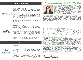# A Special Message from the President





Born of requests from desperate parents to help their children break the cycle of poverty and save for their educational future, Carolina Foothills opened an elementary-school branch of the credit union that would allow weekly deposits of any amount into a child's savings account. The Carolina Foothills Campus Branch at Meeting Street Academy now has 176 new members (91% penetration at Meeting Street Academy) and \$32,804.37 on deposit as a group for an average of \$187 per child. The success with elementary school savers has led to the opening of a second branch at another Title I school.

## SECOND PLACE

FIRST PLACE

## CAROLINA TRUST FCU



Carolina Trust implemented the First-Time Homebuyer Mortgage Program in December 2017. While homeownership is now more affordable to members, given no income requirements and no PMI with as little as 3% down, Carolina Trust wanted members to understand the financial commitment by incorporating a financial education component as part of the loan qualifications. Through integrated effort among frontline staff and the mortgage loan department, potential borrowers can now consider the responsibilities and realities of homeownership so they better understand if it is the right time and fit for them.

## \$250 MILLION-\$1 BILLION IN ASSETS

PALMETTO CITIZENS FCU



During the month of April, staff participated in "Financial Literacy Month Quizzes" to earn prizes for demonstrating knowledge of basic financial practices. Palmetto Citizens has developed education modules for newly-hired staff, implemented credit counseling education requirements for certain positions, and conducts secret shopper and quality loop surveys. The primary purpose of these activities is to promote staff discovery of members' true needs and ultimately help them achieve their financial objectives.



Thank you for your commitment to the Carolinas Credit Union Foundation through its 26 years of service. We are honored to serve as your partner in philanthropy, and we commend and celebrate your credit union's dedication to your members and communities. Together we are proving the strength of the cooperative spirit and that our commitment to the "people helping people" philosophy is stronger than ever. As your Carolinas Credit Union Foundation, we share with you the following successes of this year. We encourage you to do the same, passing along our collaborative good work to your credit union and communities.

#### PROFESSIONAL DEVELOPMENT GRANTS – SUPPORTING OUR SMALL CREDIT UNIONS

The Foundation focuses on initiatives that impact the educational development and growth of credit union employees and volunteers from our credit unions with less than \$50 million in assets. Through a new financial partnership with Summit Credit Union and the James V. and Elizabeth N. Hamilton Foundation—a legacy of Sis and Jim Hamilton--\$100,000 has been earmarked for grants to small credit unions over the next five years.

#### DISASTER RELIEF FUND – HELPING THE CREDIT UNION COMMUNITY IN TIMES OF NEED

Hurricane Florence devastated many in the Carolinas, and the Foundation was there to help our credit union employees get back quickly to serving members. To date, we have processed 253 grants and awarded \$180,418.43 in aid to credit union employees. We are very appreciative of all donors in the Carolinas and across the country who made these grants possible, and of the time and energy of parttime Foundation staff and the League to ensure that funds were delivered quickly to those in need.

#### REACH – DELIVERING MORE SMILES IN THE CAROLINAS

Since it began in 2015, the Foundation's partnership with Victory Junction's Reach Program has helped bring uplifting experiences to nearly 30,000 families and children in hospitals and Ronald McDonald Houses in every corner of the Carolinas. Our \$900,000 financial pledge now has the Reach program in 24 partnership sites, including every children's hospital in South Carolina and every Ronald McDonald House in both states. In 2018, we worked with local credit union chapters to host give-back days in three of our communities: Winston-Salem, Charlotte and Charleston. More than 115 credit union volunteers led this effort in 2018.

#### SCHOLARSHIP PROGRAMS – EMPOWERING OUR YOUTH

The Foundation has a General Scholarship Fund made possible by your credit union's support. These scholarships are available to any credit union member and are awarded based on academic performance, community leadership, and financial need. We encourage you to promote this opportunity to your membership. The Foundation also manages scholarship programs for individual credit unions and chapters at minimal cost. Our turnkey offering allows your credit union a simplified and electronic process for scholarship program management. In 2018, the Foundation sent out more than \$300,000 in scholarships on behalf of credit unions to colleges and universities for its members.

#### DONOR-ADVISED FUND MANAGEMENT – CHAMPIONING LOCAL CHARITIES

The Foundation helps credit unions and chapters with charitable giving, with the added benefit of taxdeductibility to all donors who make a contribution. We streamline all grant requests from credit unions or chapters for 501(c)(3) organizations, simplifying your charitable giving. A donor-advised fund can be formalized and marketed by your credit union as your own foundation without annual IRS filings. In 2018, the Foundation disbursed nearly \$360,000 on behalf of credit unions to charities in local communities throughout the Carolinas.

Thank you again for your support and for your dedication to the communities you serve.

Lauren Whaley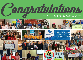















PALMETTO

小叫



Carolina I Trust' FEDERAL CREDIT UNION **CELEBRATING 60 YEARS** 

SERVING THE

MIDLANDS

**SINCE 1936** 



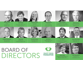

Willard Ross **Chair** Coastal FCU Raleigh, NC

Frankie DeDonato PFP Services



Vice-Chair Charlotte Metro FCU Charlotte, NC

Todd Hall Truliant CU

Bonnie Ciuffo **Secretary** SC FCU



Jennifer Parker Founders FCU Lancaster, SC









Mark Caverly Immediate Past Chair Local Government FCU Raleigh, NC

Mark Curran Lion's Share FCU Salisbury, NC



Dan Schline Ex-Officio Carolinas CU League Raleigh, NC



Judy Tharp Piedmont Advantage CU Winston-Salem, NC



Brian Sponaugle Greenville FCU Greenville, SC



Sam Whitehurst Summit CU Greensboro, NC



Bill Partin Sharonview FCU Fort Mill, SC

CAROLINAS-

**CREDIT UNION FOUNDATION**